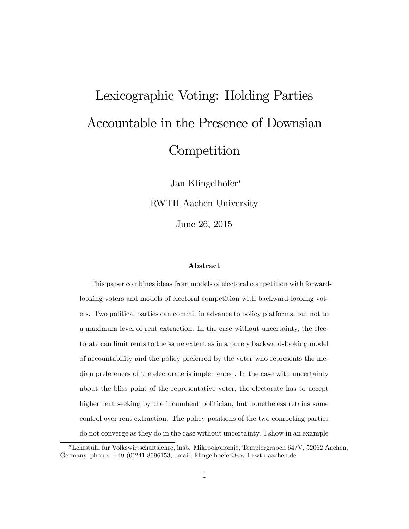# Lexicographic Voting: Holding Parties Accountable in the Presence of Downsian **Competition**

Jan Klingelhöfer<sup>\*</sup> RWTH Aachen University June 26, 2015

#### Abstract

This paper combines ideas from models of electoral competition with forwardlooking voters and models of electoral competition with backward-looking voters. Two political parties can commit in advance to policy platforms, but not to a maximum level of rent extraction. In the case without uncertainty, the electorate can limit rents to the same extent as in a purely backward-looking model of accountability and the policy preferred by the voter who represents the median preferences of the electorate is implemented. In the case with uncertainty about the bliss point of the representative voter, the electorate has to accept higher rent seeking by the incumbent politician, but nonetheless retains some control over rent extraction. The policy positions of the two competing parties do not converge as they do in the case without uncertainty. I show in an example

 $*$ Lehrstuhl für Volkswirtschaftslehre, insb. Mikroökonomie, Templergraben 64/V, 52062 Aachen, Germany, phone: +49 (0)241 8096153, email: klingelhoefer@vwl1.rwth-aachen.de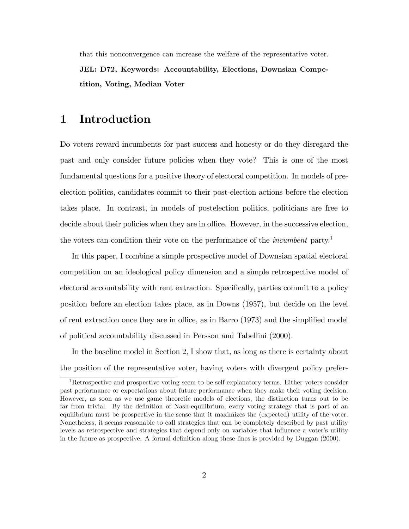that this nonconvergence can increase the welfare of the representative voter. JEL: D72, Keywords: Accountability, Elections, Downsian Competition, Voting, Median Voter

# 1 Introduction

Do voters reward incumbents for past success and honesty or do they disregard the past and only consider future policies when they vote? This is one of the most fundamental questions for a positive theory of electoral competition. In models of preelection politics, candidates commit to their post-election actions before the election takes place. In contrast, in models of postelection politics, politicians are free to decide about their policies when they are in office. However, in the successive election, the voters can condition their vote on the performance of the *incumbent* party.<sup>1</sup>

In this paper, I combine a simple prospective model of Downsian spatial electoral competition on an ideological policy dimension and a simple retrospective model of electoral accountability with rent extraction. Specifically, parties commit to a policy position before an election takes place, as in Downs (1957), but decide on the level of rent extraction once they are in office, as in Barro  $(1973)$  and the simplified model of political accountability discussed in Persson and Tabellini (2000).

In the baseline model in Section 2; I show that, as long as there is certainty about the position of the representative voter, having voters with divergent policy prefer-

<sup>1</sup>Retrospective and prospective voting seem to be self-explanatory terms. Either voters consider past performance or expectations about future performance when they make their voting decision. However, as soon as we use game theoretic models of elections, the distinction turns out to be far from trivial. By the definition of Nash-equilibrium, every voting strategy that is part of an equilibrium must be prospective in the sense that it maximizes the (expected) utility of the voter. Nonetheless, it seems reasonable to call strategies that can be completely described by past utility levels as retrospective and strategies that depend only on variables that influence a voter's utility in the future as prospective. A formal definition along these lines is provided by Duggan (2000).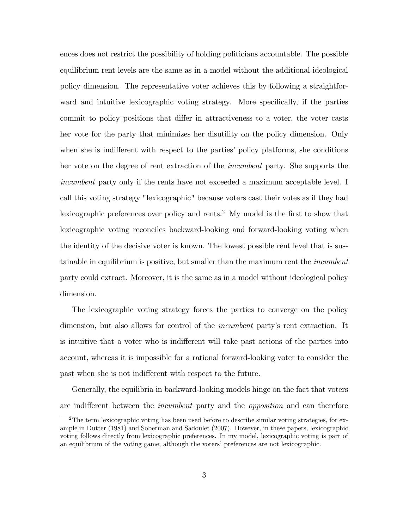ences does not restrict the possibility of holding politicians accountable. The possible equilibrium rent levels are the same as in a model without the additional ideological policy dimension. The representative voter achieves this by following a straightforward and intuitive lexicographic voting strategy. More specifically, if the parties commit to policy positions that differ in attractiveness to a voter, the voter casts her vote for the party that minimizes her disutility on the policy dimension. Only when she is indifferent with respect to the parties' policy platforms, she conditions her vote on the degree of rent extraction of the incumbent party. She supports the incumbent party only if the rents have not exceeded a maximum acceptable level. I call this voting strategy "lexicographic" because voters cast their votes as if they had lexicographic preferences over policy and rents.<sup>2</sup> My model is the first to show that lexicographic voting reconciles backward-looking and forward-looking voting when the identity of the decisive voter is known. The lowest possible rent level that is sustainable in equilibrium is positive, but smaller than the maximum rent the incumbent party could extract. Moreover, it is the same as in a model without ideological policy dimension.

The lexicographic voting strategy forces the parties to converge on the policy dimension, but also allows for control of the *incumbent* party's rent extraction. It is intuitive that a voter who is indifferent will take past actions of the parties into account, whereas it is impossible for a rational forward-looking voter to consider the past when she is not indifferent with respect to the future.

Generally, the equilibria in backward-looking models hinge on the fact that voters are indifferent between the *incumbent* party and the *opposition* and can therefore

<sup>&</sup>lt;sup>2</sup>The term lexicographic voting has been used before to describe similar voting strategies, for example in Dutter (1981) and Soberman and Sadoulet (2007). However, in these papers, lexicographic voting follows directly from lexicographic preferences. In my model, lexicographic voting is part of an equilibrium of the voting game, although the voters' preferences are not lexicographic.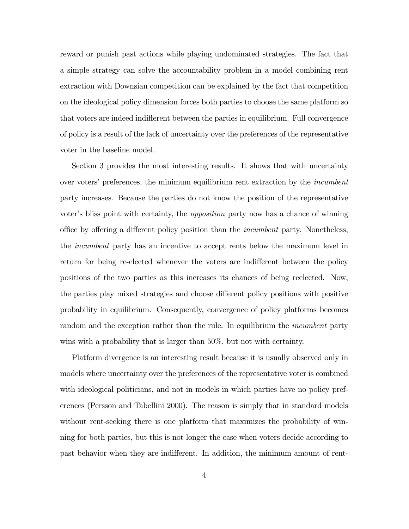reward or punish past actions while playing undominated strategies. The fact that a simple strategy can solve the accountability problem in a model combining rent extraction with Downsian competition can be explained by the fact that competition on the ideological policy dimension forces both parties to choose the same platform so that voters are indeed indifferent between the parties in equilibrium. Full convergence of policy is a result of the lack of uncertainty over the preferences of the representative voter in the baseline model.

Section 3 provides the most interesting results. It shows that with uncertainty over voters' preferences, the minimum equilibrium rent extraction by the *incumbent* party increases. Because the parties do not know the position of the representative voter's bliss point with certainty, the *opposition* party now has a chance of winning office by offering a different policy position than the *incumbent* party. Nonetheless, the incumbent party has an incentive to accept rents below the maximum level in return for being re-elected whenever the voters are indifferent between the policy positions of the two parties as this increases its chances of being reelected. Now, the parties play mixed strategies and choose different policy positions with positive probability in equilibrium. Consequently, convergence of policy platforms becomes random and the exception rather than the rule. In equilibrium the *incumbent* party wins with a probability that is larger than 50%, but not with certainty.

Platform divergence is an interesting result because it is usually observed only in models where uncertainty over the preferences of the representative voter is combined with ideological politicians, and not in models in which parties have no policy preferences (Persson and Tabellini 2000). The reason is simply that in standard models without rent-seeking there is one platform that maximizes the probability of winning for both parties, but this is not longer the case when voters decide according to past behavior when they are indifferent. In addition, the minimum amount of rent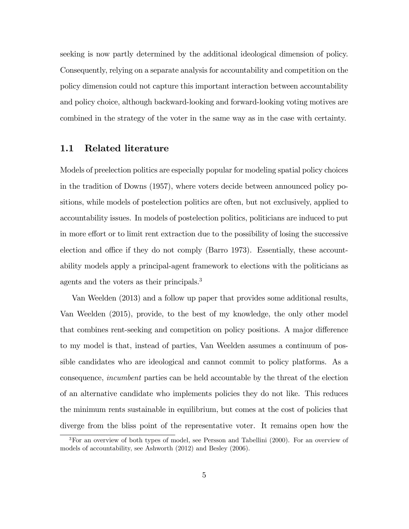seeking is now partly determined by the additional ideological dimension of policy. Consequently, relying on a separate analysis for accountability and competition on the policy dimension could not capture this important interaction between accountability and policy choice, although backward-looking and forward-looking voting motives are combined in the strategy of the voter in the same way as in the case with certainty.

#### 1.1 Related literature

Models of preelection politics are especially popular for modeling spatial policy choices in the tradition of Downs (1957), where voters decide between announced policy positions, while models of postelection politics are often, but not exclusively, applied to accountability issues. In models of postelection politics, politicians are induced to put in more effort or to limit rent extraction due to the possibility of losing the successive election and office if they do not comply (Barro 1973). Essentially, these accountability models apply a principal-agent framework to elections with the politicians as agents and the voters as their principals.<sup>3</sup>

Van Weelden (2013) and a follow up paper that provides some additional results, Van Weelden (2015), provide, to the best of my knowledge, the only other model that combines rent-seeking and competition on policy positions. A major difference to my model is that, instead of parties, Van Weelden assumes a continuum of possible candidates who are ideological and cannot commit to policy platforms. As a consequence, incumbent parties can be held accountable by the threat of the election of an alternative candidate who implements policies they do not like. This reduces the minimum rents sustainable in equilibrium, but comes at the cost of policies that diverge from the bliss point of the representative voter. It remains open how the

<sup>3</sup>For an overview of both types of model, see Persson and Tabellini (2000). For an overview of models of accountability, see Ashworth (2012) and Besley (2006).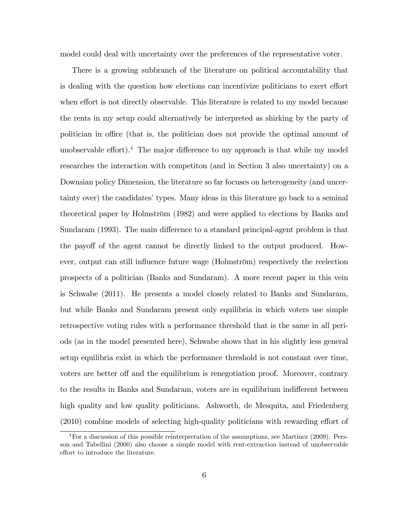model could deal with uncertainty over the preferences of the representative voter.

There is a growing subbranch of the literature on political accountability that is dealing with the question how elections can incentivize politicians to exert effort when effort is not directly observable. This literature is related to my model because the rents in my setup could alternatively be interpreted as shirking by the party of politician in office (that is, the politician does not provide the optimal amount of unobservable effort).<sup>4</sup> The major difference to my approach is that while my model researches the interaction with competiton (and in Section 3 also uncertainty) on a Downsian policy Dimension, the literature so far focuses on heterogeneity (and uncertainty over) the candidates' types. Many ideas in this literature go back to a seminal theoretical paper by Holmström (1982) and were applied to elections by Banks and Sundaram (1993). The main difference to a standard principal-agent problem is that the payoff of the agent cannot be directly linked to the output produced. However, output can still influence future wage (Holmström) respectively the reelection prospects of a politician (Banks and Sundaram). A more recent paper in this vein is Schwabe (2011). He presents a model closely related to Banks and Sundaram, but while Banks and Sundaram present only equilibria in which voters use simple retrospective voting rules with a performance threshold that is the same in all periods (as in the model presented here), Schwabe shows that in his slightly less general setup equilibria exist in which the performance threshold is not constant over time, voters are better of and the equilibrium is renegotiation proof. Moreover, contrary to the results in Banks and Sundaram, voters are in equilibrium indifferent between high quality and low quality politicians. Ashworth, de Mesquita, and Friedenberg  $(2010)$  combine models of selecting high-quality politicians with rewarding effort of

<sup>4</sup>For a discussion of this possible reinterpretation of the assumptions, see Martinez (2009). Persson and Tabellini (2000) also choose a simple model with rent-extraction instead of unobservable effort to introduce the literature.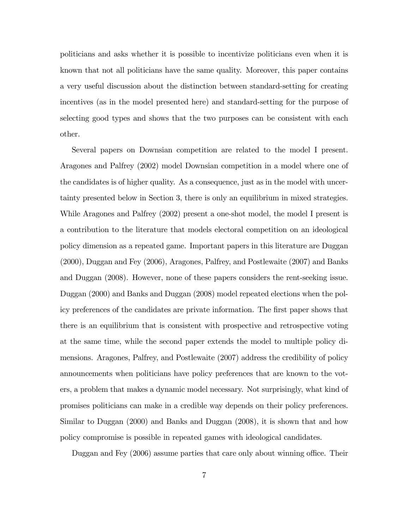politicians and asks whether it is possible to incentivize politicians even when it is known that not all politicians have the same quality. Moreover, this paper contains a very useful discussion about the distinction between standard-setting for creating incentives (as in the model presented here) and standard-setting for the purpose of selecting good types and shows that the two purposes can be consistent with each other.

Several papers on Downsian competition are related to the model I present. Aragones and Palfrey (2002) model Downsian competition in a model where one of the candidates is of higher quality. As a consequence, just as in the model with uncertainty presented below in Section 3, there is only an equilibrium in mixed strategies. While Aragones and Palfrey (2002) present a one-shot model, the model I present is a contribution to the literature that models electoral competition on an ideological policy dimension as a repeated game. Important papers in this literature are Duggan (2000), Duggan and Fey (2006), Aragones, Palfrey, and Postlewaite (2007) and Banks and Duggan (2008). However, none of these papers considers the rent-seeking issue. Duggan (2000) and Banks and Duggan (2008) model repeated elections when the policy preferences of the candidates are private information. The Örst paper shows that there is an equilibrium that is consistent with prospective and retrospective voting at the same time, while the second paper extends the model to multiple policy dimensions. Aragones, Palfrey, and Postlewaite (2007) address the credibility of policy announcements when politicians have policy preferences that are known to the voters, a problem that makes a dynamic model necessary. Not surprisingly, what kind of promises politicians can make in a credible way depends on their policy preferences. Similar to Duggan (2000) and Banks and Duggan (2008), it is shown that and how policy compromise is possible in repeated games with ideological candidates.

Duggan and Fey (2006) assume parties that care only about winning office. Their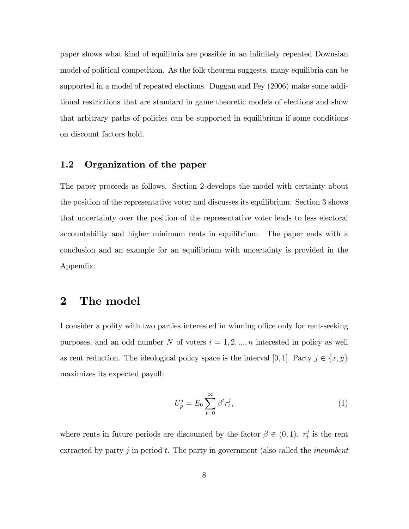paper shows what kind of equilibria are possible in an infinitely repeated Downsian model of political competition. As the folk theorem suggests, many equilibria can be supported in a model of repeated elections. Duggan and Fey (2006) make some additional restrictions that are standard in game theoretic models of elections and show that arbitrary paths of policies can be supported in equilibrium if some conditions on discount factors hold.

## 1.2 Organization of the paper

The paper proceeds as follows. Section 2 develops the model with certainty about the position of the representative voter and discusses its equilibrium. Section 3 shows that uncertainty over the position of the representative voter leads to less electoral accountability and higher minimum rents in equilibrium. The paper ends with a conclusion and an example for an equilibrium with uncertainty is provided in the Appendix.

## 2 The model

I consider a polity with two parties interested in winning office only for rent-seeking purposes, and an odd number N of voters  $i = 1, 2, ..., n$  interested in policy as well as rent reduction. The ideological policy space is the interval [0, 1]. Party  $j \in \{x, y\}$ maximizes its expected payoff:

$$
U_p^j = E_0 \sum_{t=0}^{\infty} \beta^t r_t^j,\tag{1}
$$

where rents in future periods are discounted by the factor  $\beta \in (0,1)$ .  $r_t^j$  $t$ <sup>*i*</sup> is the rent extracted by party  $j$  in period  $t$ . The party in government (also called the *incumbent*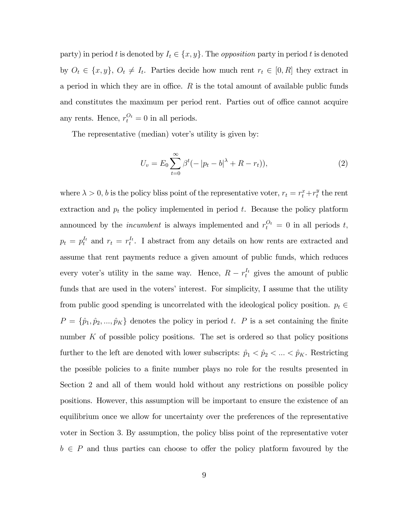party) in period t is denoted by  $I_t \in \{x, y\}$ . The *opposition* party in period t is denoted by  $O_t \in \{x, y\}, O_t \neq I_t$ . Parties decide how much rent  $r_t \in [0, R]$  they extract in a period in which they are in office.  $R$  is the total amount of available public funds and constitutes the maximum per period rent. Parties out of office cannot acquire any rents. Hence,  $r_t^{O_t} = 0$  in all periods.

The representative (median) voter's utility is given by:

$$
U_v = E_0 \sum_{t=0}^{\infty} \beta^t (-|p_t - b|^{\lambda} + R - r_t)),
$$
\n(2)

where  $\lambda > 0$ , b is the policy bliss point of the representative voter,  $r_t = r_t^x + r_t^y$  $t$ <sup>*y*</sup> the rent extraction and  $p_t$  the policy implemented in period  $t$ . Because the policy platform announced by the *incumbent* is always implemented and  $r_t^{O_t} = 0$  in all periods t,  $p_t = p_t^{I_t}$  and  $r_t = r_t^{I_t}$ . I abstract from any details on how rents are extracted and assume that rent payments reduce a given amount of public funds, which reduces every voter's utility in the same way. Hence,  $R - r_t^{I_t}$  gives the amount of public funds that are used in the voters' interest. For simplicity, I assume that the utility from public good spending is uncorrelated with the ideological policy position.  $p_t \in$  $P = \{\hat{p}_1, \hat{p}_2, ..., \hat{p}_K\}$  denotes the policy in period t. P is a set containing the finite number K of possible policy positions. The set is ordered so that policy positions further to the left are denoted with lower subscripts:  $\hat{p}_1 < \hat{p}_2 < \dots < \hat{p}_K$ . Restricting the possible policies to a finite number plays no role for the results presented in Section 2 and all of them would hold without any restrictions on possible policy positions. However, this assumption will be important to ensure the existence of an equilibrium once we allow for uncertainty over the preferences of the representative voter in Section 3: By assumption, the policy bliss point of the representative voter  $b \in P$  and thus parties can choose to offer the policy platform favoured by the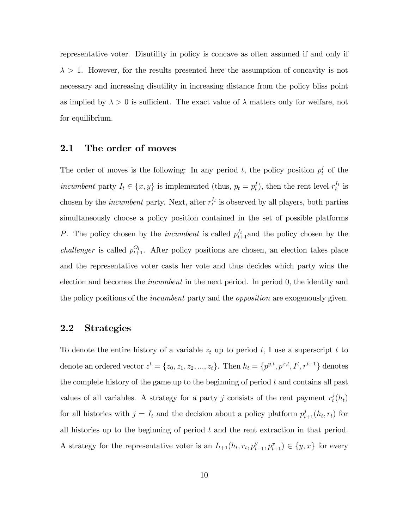representative voter. Disutility in policy is concave as often assumed if and only if  $\lambda > 1$ . However, for the results presented here the assumption of concavity is not necessary and increasing disutility in increasing distance from the policy bliss point as implied by  $\lambda > 0$  is sufficient. The exact value of  $\lambda$  matters only for welfare, not for equilibrium.

## 2.1 The order of moves

The order of moves is the following: In any period t, the policy position  $p_t^I$  of the incumbent party  $I_t \in \{x, y\}$  is implemented (thus,  $p_t = p_t^I$ ), then the rent level  $r_t^{I_t}$  is chosen by the *incumbent* party. Next, after  $r_t^{I_t}$  is observed by all players, both parties simultaneously choose a policy position contained in the set of possible platforms P. The policy chosen by the *incumbent* is called  $p_{t+1}^{I_t}$  and the policy chosen by the challenger is called  $p_{t+1}^{O_t}$ . After policy positions are chosen, an election takes place and the representative voter casts her vote and thus decides which party wins the election and becomes the *incumbent* in the next period. In period 0, the identity and the policy positions of the *incumbent* party and the *opposition* are exogenously given.

## 2.2 Strategies

To denote the entire history of a variable  $z_t$  up to period t, I use a superscript t to denote an ordered vector  $z^t = \{z_0, z_1, z_2, ..., z_t\}$ . Then  $h_t = \{p^{y,t}, p^{x,t}, I^t, r^{t-1}\}$  denotes the complete history of the game up to the beginning of period  $t$  and contains all past values of all variables. A strategy for a party j consists of the rent payment  $r_t^j$  $t^j(h_t)$ for all histories with  $j = I_t$  and the decision about a policy platform  $p_{t+1}^j(h_t, r_t)$  for all histories up to the beginning of period  $t$  and the rent extraction in that period. A strategy for the representative voter is an  $I_{t+1}(h_t, r_t, p_{t+1}^y, p_{t+1}^x) \in \{y, x\}$  for every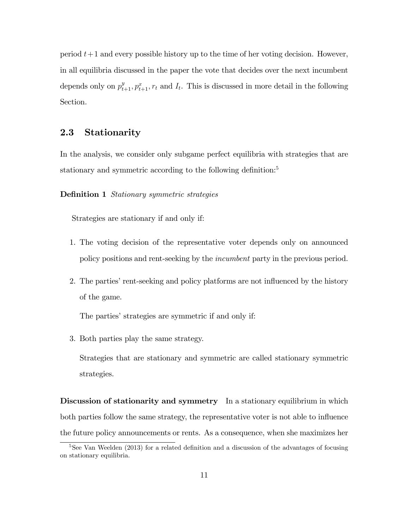period  $t+1$  and every possible history up to the time of her voting decision. However, in all equilibria discussed in the paper the vote that decides over the next incumbent depends only on  $p_{t+1}^y, p_{t+1}^x, r_t$  and  $I_t$ . This is discussed in more detail in the following Section.

## 2.3 Stationarity

In the analysis, we consider only subgame perfect equilibria with strategies that are stationary and symmetric according to the following definition:<sup>5</sup>

#### **Definition 1** Stationary symmetric strategies

Strategies are stationary if and only if:

- 1. The voting decision of the representative voter depends only on announced policy positions and rent-seeking by the incumbent party in the previous period.
- 2. The parties' rent-seeking and policy platforms are not influenced by the history of the game.

The parties' strategies are symmetric if and only if:

3. Both parties play the same strategy.

Strategies that are stationary and symmetric are called stationary symmetric strategies.

Discussion of stationarity and symmetry In a stationary equilibrium in which both parties follow the same strategy, the representative voter is not able to influence the future policy announcements or rents. As a consequence, when she maximizes her

 $5$ See Van Weelden (2013) for a related definition and a discussion of the advantages of focusing on stationary equilibria.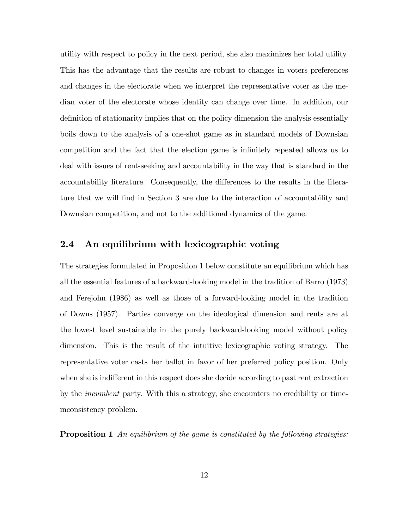utility with respect to policy in the next period, she also maximizes her total utility. This has the advantage that the results are robust to changes in voters preferences and changes in the electorate when we interpret the representative voter as the median voter of the electorate whose identity can change over time. In addition, our definition of stationarity implies that on the policy dimension the analysis essentially boils down to the analysis of a one-shot game as in standard models of Downsian competition and the fact that the election game is infinitely repeated allows us to deal with issues of rent-seeking and accountability in the way that is standard in the accountability literature. Consequently, the differences to the results in the literature that we will find in Section 3 are due to the interaction of accountability and Downsian competition, and not to the additional dynamics of the game.

## 2.4 An equilibrium with lexicographic voting

The strategies formulated in Proposition 1 below constitute an equilibrium which has all the essential features of a backward-looking model in the tradition of Barro (1973) and Ferejohn (1986) as well as those of a forward-looking model in the tradition of Downs (1957). Parties converge on the ideological dimension and rents are at the lowest level sustainable in the purely backward-looking model without policy dimension. This is the result of the intuitive lexicographic voting strategy. The representative voter casts her ballot in favor of her preferred policy position. Only when she is indifferent in this respect does she decide according to past rent extraction by the incumbent party. With this a strategy, she encounters no credibility or timeinconsistency problem.

Proposition 1 An equilibrium of the game is constituted by the following strategies: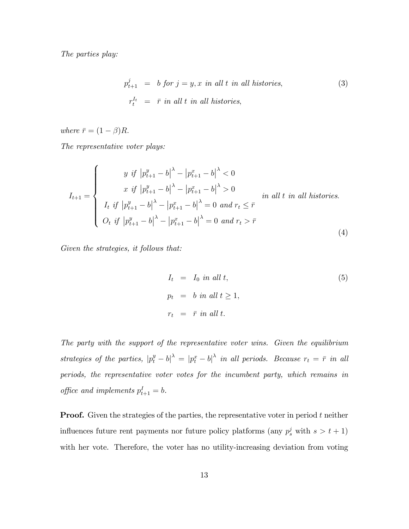The parties play:

$$
p_{t+1}^{j} = b \text{ for } j = y, x \text{ in all } t \text{ in all histories},
$$
\n
$$
r_{t}^{I_{t}} = \bar{r} \text{ in all } t \text{ in all histories},
$$
\n
$$
(3)
$$

where  $\bar{r} = (1 - \beta)R$ .

The representative voter plays:

$$
I_{t+1} = \begin{cases} y \text{ if } |p_{t+1}^{y} - b|^{\lambda} - |p_{t+1}^{x} - b|^{\lambda} < 0 \\ x \text{ if } |p_{t+1}^{y} - b|^{\lambda} - |p_{t+1}^{x} - b|^{\lambda} > 0 \\ I_{t} \text{ if } |p_{t+1}^{y} - b|^{\lambda} - |p_{t+1}^{x} - b|^{\lambda} = 0 \text{ and } r_{t} \leq \bar{r} \\ O_{t} \text{ if } |p_{t+1}^{y} - b|^{\lambda} - |p_{t+1}^{x} - b|^{\lambda} = 0 \text{ and } r_{t} > \bar{r} \end{cases} \tag{4}
$$

Given the strategies, it follows that:

$$
I_t = I_0 \text{ in all } t,
$$
  
\n
$$
p_t = b \text{ in all } t \ge 1,
$$
  
\n
$$
r_t = \bar{r} \text{ in all } t.
$$
\n(5)

The party with the support of the representative voter wins. Given the equilibrium strategies of the parties,  $|p_t^y - b|$ <sup> $\lambda = |p_t^x - b|$ </sup> in all periods. Because  $r_t = \bar{r}$  in all periods, the representative voter votes for the incumbent party, which remains in office and implements  $p_{t+1}^I = b$ .

**Proof.** Given the strategies of the parties, the representative voter in period  $t$  neither influences future rent payments nor future policy platforms (any  $p_s^j$  with  $s > t + 1$ ) with her vote. Therefore, the voter has no utility-increasing deviation from voting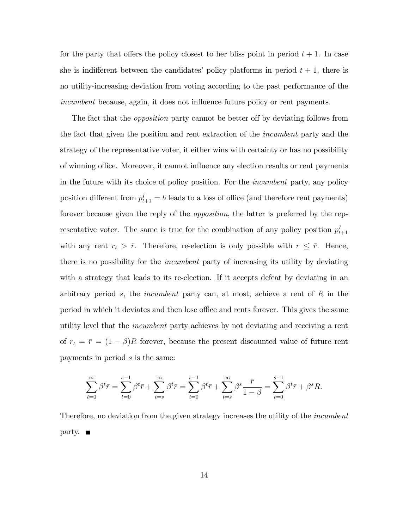for the party that offers the policy closest to her bliss point in period  $t + 1$ . In case she is indifferent between the candidates' policy platforms in period  $t + 1$ , there is no utility-increasing deviation from voting according to the past performance of the incumbent because, again, it does not influence future policy or rent payments.

The fact that the *opposition* party cannot be better off by deviating follows from the fact that given the position and rent extraction of the incumbent party and the strategy of the representative voter, it either wins with certainty or has no possibility of winning office. Moreover, it cannot influence any election results or rent payments in the future with its choice of policy position. For the incumbent party, any policy position different from  $p_{t+1}^I = b$  leads to a loss of office (and therefore rent payments) forever because given the reply of the *opposition*, the latter is preferred by the representative voter. The same is true for the combination of any policy position  $p_{t+1}^I$ with any rent  $r_t > \bar{r}$ . Therefore, re-election is only possible with  $r \leq \bar{r}$ . Hence, there is no possibility for the *incumbent* party of increasing its utility by deviating with a strategy that leads to its re-election. If it accepts defeat by deviating in an arbitrary period s, the *incumbent* party can, at most, achieve a rent of  $R$  in the period in which it deviates and then lose office and rents forever. This gives the same utility level that the incumbent party achieves by not deviating and receiving a rent of  $r_t = \bar{r} = (1 - \beta)R$  forever, because the present discounted value of future rent payments in period s is the same:

$$
\sum_{t=0}^{\infty} \beta^t \bar{r} = \sum_{t=0}^{s-1} \beta^t \bar{r} + \sum_{t=s}^{\infty} \beta^t \bar{r} = \sum_{t=0}^{s-1} \beta^t \bar{r} + \sum_{t=s}^{\infty} \beta^s \frac{\bar{r}}{1-\beta} = \sum_{t=0}^{s-1} \beta^t \bar{r} + \beta^s R.
$$

Therefore, no deviation from the given strategy increases the utility of the *incumbent*  $party.$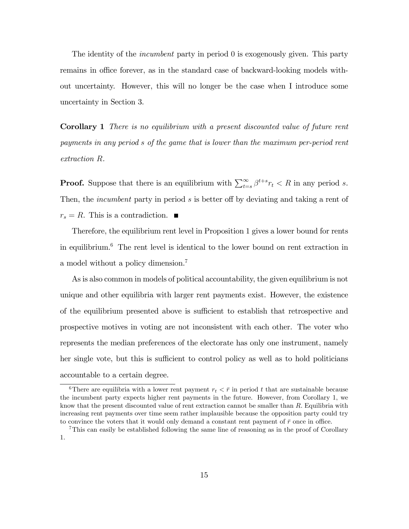The identity of the *incumbent* party in period 0 is exogenously given. This party remains in office forever, as in the standard case of backward-looking models without uncertainty. However, this will no longer be the case when I introduce some uncertainty in Section 3.

Corollary 1 There is no equilibrium with a present discounted value of future rent payments in any period s of the game that is lower than the maximum per-period rent extraction R.

**Proof.** Suppose that there is an equilibrium with  $\sum_{t=s}^{\infty} \beta^{t+s} r_t < R$  in any period s. Then, the *incumbent* party in period s is better off by deviating and taking a rent of  $r_s = R$ . This is a contradiction.  $\blacksquare$ 

Therefore, the equilibrium rent level in Proposition 1 gives a lower bound for rents in equilibrium.<sup>6</sup> The rent level is identical to the lower bound on rent extraction in a model without a policy dimension.<sup>7</sup>

As is also common in models of political accountability, the given equilibrium is not unique and other equilibria with larger rent payments exist. However, the existence of the equilibrium presented above is sufficient to establish that retrospective and prospective motives in voting are not inconsistent with each other. The voter who represents the median preferences of the electorate has only one instrument, namely her single vote, but this is sufficient to control policy as well as to hold politicians accountable to a certain degree.

<sup>&</sup>lt;sup>6</sup>There are equilibria with a lower rent payment  $r_t < \bar{r}$  in period t that are sustainable because the incumbent party expects higher rent payments in the future. However, from Corollary 1; we know that the present discounted value of rent extraction cannot be smaller than  $R$ . Equilibria with increasing rent payments over time seem rather implausible because the opposition party could try to convince the voters that it would only demand a constant rent payment of  $\bar{r}$  once in office.

<sup>&</sup>lt;sup>7</sup>This can easily be established following the same line of reasoning as in the proof of Corollary 1: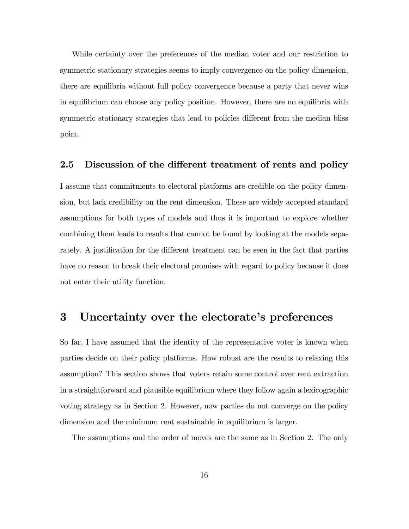While certainty over the preferences of the median voter and our restriction to symmetric stationary strategies seems to imply convergence on the policy dimension, there are equilibria without full policy convergence because a party that never wins in equilibrium can choose any policy position. However, there are no equilibria with symmetric stationary strategies that lead to policies different from the median bliss point.

#### 2.5 Discussion of the different treatment of rents and policy

I assume that commitments to electoral platforms are credible on the policy dimension, but lack credibility on the rent dimension. These are widely accepted standard assumptions for both types of models and thus it is important to explore whether combining them leads to results that cannot be found by looking at the models separately. A justification for the different treatment can be seen in the fact that parties have no reason to break their electoral promises with regard to policy because it does not enter their utility function.

## 3 Uncertainty over the electorate's preferences

So far, I have assumed that the identity of the representative voter is known when parties decide on their policy platforms. How robust are the results to relaxing this assumption? This section shows that voters retain some control over rent extraction in a straightforward and plausible equilibrium where they follow again a lexicographic voting strategy as in Section 2. However, now parties do not converge on the policy dimension and the minimum rent sustainable in equilibrium is larger.

The assumptions and the order of moves are the same as in Section 2. The only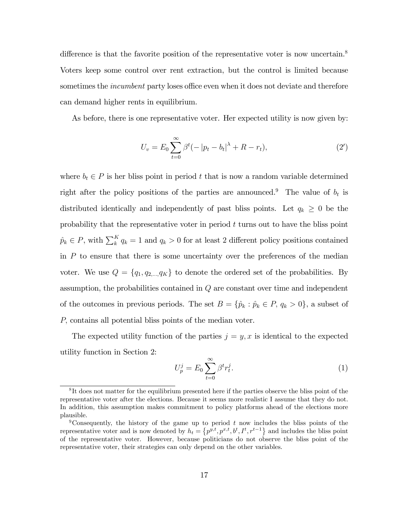difference is that the favorite position of the representative voter is now uncertain.<sup>8</sup> Voters keep some control over rent extraction, but the control is limited because sometimes the *incumbent* party loses office even when it does not deviate and therefore can demand higher rents in equilibrium.

As before, there is one representative voter. Her expected utility is now given by:

$$
U_v = E_0 \sum_{t=0}^{\infty} \beta^t (-|p_t - b_t|^{\lambda} + R - r_t), \tag{2'}
$$

where  $b_t \in P$  is her bliss point in period t that is now a random variable determined right after the policy positions of the parties are announced.<sup>9</sup> The value of  $b_t$  is distributed identically and independently of past bliss points. Let  $q_k \geq 0$  be the probability that the representative voter in period  $t$  turns out to have the bliss point  $\hat{p}_k \in P$ , with  $\sum_{k=1}^{K} q_k = 1$  and  $q_k > 0$  for at least 2 different policy positions contained in P to ensure that there is some uncertainty over the preferences of the median voter. We use  $Q = \{q_1, q_2, ..., q_K\}$  to denote the ordered set of the probabilities. By assumption, the probabilities contained in Q are constant over time and independent of the outcomes in previous periods. The set  $B = \{\hat{p}_k : \hat{p}_k \in P, q_k > 0\}$ , a subset of P; contains all potential bliss points of the median voter.

The expected utility function of the parties  $j = y, x$  is identical to the expected utility function in Section 2:

$$
U_p^j = E_0 \sum_{t=0}^{\infty} \beta^t r_t^j.
$$
 (1)

<sup>&</sup>lt;sup>8</sup>It does not matter for the equilibrium presented here if the parties observe the bliss point of the representative voter after the elections. Because it seems more realistic I assume that they do not. In addition, this assumption makes commitment to policy platforms ahead of the elections more plausible.

<sup>&</sup>lt;sup>9</sup>Consequently, the history of the game up to period t now includes the bliss points of the representative voter and is now denoted by  $h_t = \{p^{y,t}, p^{x,t}, b^t, I^t, r^{t-1}\}\$ and includes the bliss point of the representative voter. However, because politicians do not observe the bliss point of the representative voter, their strategies can only depend on the other variables.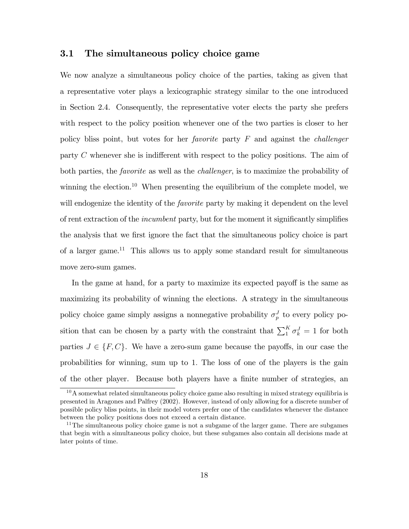## 3.1 The simultaneous policy choice game

We now analyze a simultaneous policy choice of the parties, taking as given that a representative voter plays a lexicographic strategy similar to the one introduced in Section 2.4. Consequently, the representative voter elects the party she prefers with respect to the policy position whenever one of the two parties is closer to her policy bliss point, but votes for her *favorite* party  $F$  and against the *challenger* party  $C$  whenever she is indifferent with respect to the policy positions. The aim of both parties, the *favorite* as well as the *challenger*, is to maximize the probability of winning the election.<sup>10</sup> When presenting the equilibrium of the complete model, we will endogenize the identity of the *favorite* party by making it dependent on the level of rent extraction of the *incumbent* party, but for the moment it significantly simplifies the analysis that we first ignore the fact that the simultaneous policy choice is part of a larger game.<sup>11</sup> This allows us to apply some standard result for simultaneous move zero-sum games.

In the game at hand, for a party to maximize its expected payoff is the same as maximizing its probability of winning the elections. A strategy in the simultaneous policy choice game simply assigns a nonnegative probability  $\sigma_p^J$  to every policy position that can be chosen by a party with the constraint that  $\sum_{1}^{K} \sigma_k^J = 1$  for both parties  $J \in \{F, C\}$ . We have a zero-sum game because the payoffs, in our case the probabilities for winning, sum up to 1: The loss of one of the players is the gain of the other player. Because both players have a finite number of strategies, an

<sup>10</sup>A somewhat related simultaneous policy choice game also resulting in mixed strategy equilibria is presented in Aragones and Palfrey (2002). However, instead of only allowing for a discrete number of possible policy bliss points, in their model voters prefer one of the candidates whenever the distance between the policy positions does not exceed a certain distance.

<sup>&</sup>lt;sup>11</sup>The simultaneous policy choice game is not a subgame of the larger game. There are subgames that begin with a simultaneous policy choice, but these subgames also contain all decisions made at later points of time.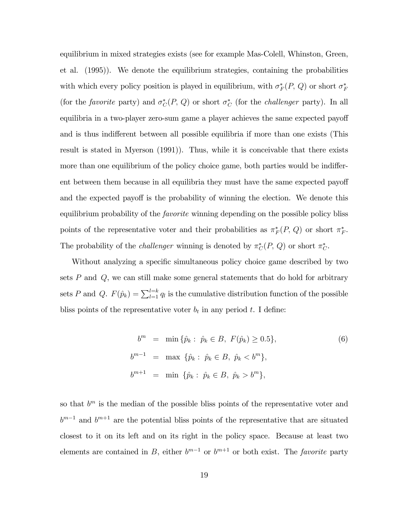equilibrium in mixed strategies exists (see for example Mas-Colell, Whinston, Green, et al. (1995)). We denote the equilibrium strategies, containing the probabilities with which every policy position is played in equilibrium, with  $\sigma_F^*(P, Q)$  or short  $\sigma_F^*$ (for the *favorite* party) and  $\sigma_C^*(P, Q)$  or short  $\sigma_C^*$  (for the *challenger* party). In all equilibria in a two-player zero-sum game a player achieves the same expected payoff and is thus indifferent between all possible equilibria if more than one exists (This result is stated in Myerson (1991)). Thus, while it is conceivable that there exists more than one equilibrium of the policy choice game, both parties would be indifferent between them because in all equilibria they must have the same expected payoff and the expected payoff is the probability of winning the election. We denote this equilibrium probability of the *favorite* winning depending on the possible policy bliss points of the representative voter and their probabilities as  $\pi_F^*(P, Q)$  or short  $\pi_F^*$ . The probability of the *challenger* winning is denoted by  $\pi_{C}^{*}(P, Q)$  or short  $\pi_{C}^{*}$ .

Without analyzing a specific simultaneous policy choice game described by two sets  $P$  and  $Q$ , we can still make some general statements that do hold for arbitrary sets P and Q.  $F(\hat{p}_k) = \sum_{l=1}^{l=k} q_l$  is the cumulative distribution function of the possible bliss points of the representative voter  $b_t$  in any period t. I define:

$$
b^{m} = \min \{\hat{p}_{k} : \hat{p}_{k} \in B, F(\hat{p}_{k}) \ge 0.5\},
$$
  
\n
$$
b^{m-1} = \max \{\hat{p}_{k} : \hat{p}_{k} \in B, \hat{p}_{k} < b^{m}\},
$$
  
\n
$$
b^{m+1} = \min \{\hat{p}_{k} : \hat{p}_{k} \in B, \hat{p}_{k} > b^{m}\},
$$
\n(6)

so that  $b^m$  is the median of the possible bliss points of the representative voter and  $b^{m-1}$  and  $b^{m+1}$  are the potential bliss points of the representative that are situated closest to it on its left and on its right in the policy space. Because at least two elements are contained in B, either  $b^{m-1}$  or  $b^{m+1}$  or both exist. The *favorite* party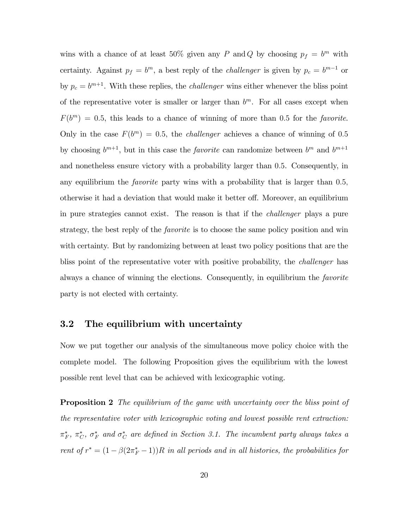wins with a chance of at least 50% given any P and Q by choosing  $p_f = b^m$  with certainty. Against  $p_f = b^m$ , a best reply of the *challenger* is given by  $p_c = b^{m-1}$  or by  $p_c = b^{m+1}$ . With these replies, the *challenger* wins either whenever the bliss point of the representative voter is smaller or larger than  $b<sup>m</sup>$ . For all cases except when  $F(b^m) = 0.5$ , this leads to a chance of winning of more than 0.5 for the *favorite*. Only in the case  $F(b^m) = 0.5$ , the *challenger* achieves a chance of winning of 0.5 by choosing  $b^{m+1}$ , but in this case the *favorite* can randomize between  $b^m$  and  $b^{m+1}$ and nonetheless ensure victory with a probability larger than 0:5. Consequently, in any equilibrium the *favorite* party wins with a probability that is larger than  $0.5$ . otherwise it had a deviation that would make it better off. Moreover, an equilibrium in pure strategies cannot exist. The reason is that if the challenger plays a pure strategy, the best reply of the *favorite* is to choose the same policy position and win with certainty. But by randomizing between at least two policy positions that are the bliss point of the representative voter with positive probability, the challenger has always a chance of winning the elections. Consequently, in equilibrium the favorite party is not elected with certainty.

## 3.2 The equilibrium with uncertainty

Now we put together our analysis of the simultaneous move policy choice with the complete model. The following Proposition gives the equilibrium with the lowest possible rent level that can be achieved with lexicographic voting.

**Proposition 2** The equilibrium of the game with uncertainty over the bliss point of the representative voter with lexicographic voting and lowest possible rent extraction:  $\pi_F^*, \pi_C^*, \sigma_F^*$  and  $\sigma_C^*$  are defined in Section 3.1. The incumbent party always takes a rent of  $r^* = (1 - \beta(2\pi_F^* - 1))R$  in all periods and in all histories, the probabilities for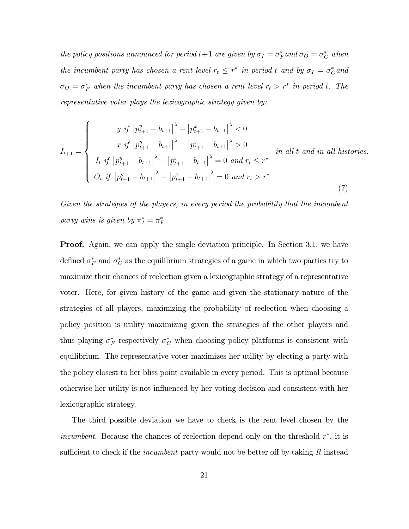the policy positions announced for period  $t+1$  are given by  $\sigma_I = \sigma_F^*$  and  $\sigma_O = \sigma_C^*$  when the incumbent party has chosen a rent level  $r_t \leq r^*$  in period t and by  $\sigma_I = \sigma_C^*$  and  $\sigma_O = \sigma_F^*$  when the incumbent party has chosen a rent level  $r_t > r^*$  in period t. The representative voter plays the lexicographic strategy given by:

$$
I_{t+1} = \begin{cases} y \text{ if } \left| p_{t+1}^y - b_{t+1} \right|^{\lambda} - \left| p_{t+1}^x - b_{t+1} \right|^{\lambda} < 0 \\ x \text{ if } \left| p_{t+1}^y - b_{t+1} \right|^{\lambda} - \left| p_{t+1}^x - b_{t+1} \right|^{\lambda} > 0 \\ I_t \text{ if } \left| p_{t+1}^y - b_{t+1} \right|^{\lambda} - \left| p_{t+1}^x - b_{t+1} \right|^{\lambda} = 0 \text{ and } r_t \leq r^* \\ O_t \text{ if } \left| p_{t+1}^y - b_{t+1} \right|^{\lambda} - \left| p_{t+1}^x - b_{t+1} \right|^{\lambda} = 0 \text{ and } r_t > r^* \end{cases} \tag{7}
$$

Given the strategies of the players, in every period the probability that the incumbent party wins is given by  $\pi_I^* = \pi_F^*$ .

**Proof.** Again, we can apply the single deviation principle. In Section 3.1, we have defined  $\sigma_F^*$  and  $\sigma_C^*$  as the equilibrium strategies of a game in which two parties try to maximize their chances of reelection given a lexicographic strategy of a representative voter. Here, for given history of the game and given the stationary nature of the strategies of all players, maximizing the probability of reelection when choosing a policy position is utility maximizing given the strategies of the other players and thus playing  $\sigma_F^*$  respectively  $\sigma_C^*$  when choosing policy platforms is consistent with equilibrium. The representative voter maximizes her utility by electing a party with the policy closest to her bliss point available in every period. This is optimal because otherwise her utility is not ináuenced by her voting decision and consistent with her lexicographic strategy.

The third possible deviation we have to check is the rent level chosen by the incumbent. Because the chances of reelection depend only on the threshold  $r^*$ , it is sufficient to check if the *incumbent* party would not be better of by taking  $R$  instead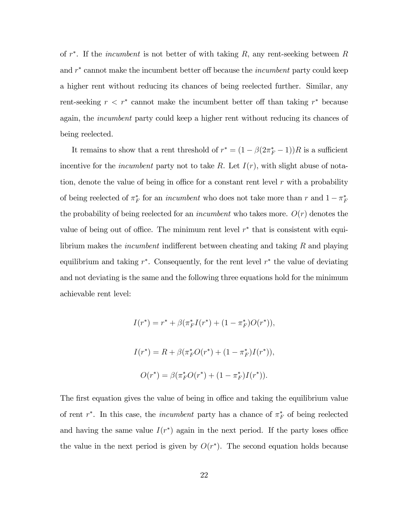of  $r^*$ . If the *incumbent* is not better of with taking  $R$ , any rent-seeking between  $R$ and  $r^*$  cannot make the incumbent better off because the *incumbent* party could keep a higher rent without reducing its chances of being reelected further. Similar, any rent-seeking  $r < r^*$  cannot make the incumbent better off than taking  $r^*$  because again, the *incumbent* party could keep a higher rent without reducing its chances of being reelected.

It remains to show that a rent threshold of  $r^* = (1 - \beta(2\pi_F^* - 1))R$  is a sufficient incentive for the *incumbent* party not to take R. Let  $I(r)$ , with slight abuse of notation, denote the value of being in office for a constant rent level  $r$  with a probability of being reelected of  $\pi_F^*$  for an *incumbent* who does not take more than r and  $1 - \pi_F^*$ the probability of being reelected for an *incumbent* who takes more.  $O(r)$  denotes the value of being out of office. The minimum rent level  $r^*$  that is consistent with equilibrium makes the *incumbent* indifferent between cheating and taking  $R$  and playing equilibrium and taking  $r^*$ . Consequently, for the rent level  $r^*$  the value of deviating and not deviating is the same and the following three equations hold for the minimum achievable rent level:

$$
I(r^*) = r^* + \beta(\pi_F^* I(r^*) + (1 - \pi_F^*)O(r^*)),
$$
  
\n
$$
I(r^*) = R + \beta(\pi_F^* O(r^*) + (1 - \pi_F^*)I(r^*)),
$$
  
\n
$$
O(r^*) = \beta(\pi_F^* O(r^*) + (1 - \pi_F^*)I(r^*)).
$$

The first equation gives the value of being in office and taking the equilibrium value of rent  $r^*$ . In this case, the *incumbent* party has a chance of  $\pi_F^*$  of being reelected and having the same value  $I(r^*)$  again in the next period. If the party loses office the value in the next period is given by  $O(r^*)$ . The second equation holds because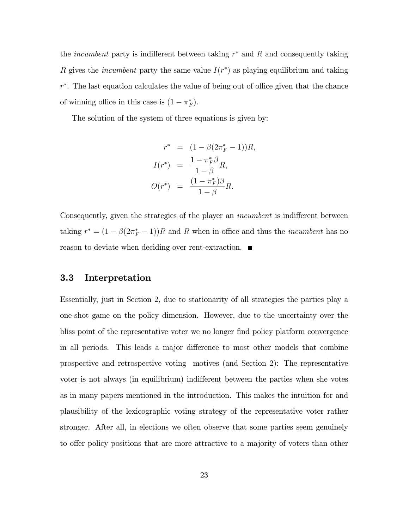the *incumbent* party is indifferent between taking  $r^*$  and  $R$  and consequently taking R gives the *incumbent* party the same value  $I(r^*)$  as playing equilibrium and taking  $r^*$ . The last equation calculates the value of being out of office given that the chance of winning office in this case is  $(1 - \pi_F^*)$ .

The solution of the system of three equations is given by:

$$
r^* = (1 - \beta(2\pi_F^* - 1))R,
$$
  
\n
$$
I(r^*) = \frac{1 - \pi_F^* \beta}{1 - \beta} R,
$$
  
\n
$$
O(r^*) = \frac{(1 - \pi_F^*)\beta}{1 - \beta} R.
$$

Consequently, given the strategies of the player an *incumbent* is indifferent between taking  $r^* = (1 - \beta(2\pi_F^* - 1))R$  and R when in office and thus the *incumbent* has no reason to deviate when deciding over rent-extraction.

### 3.3 Interpretation

Essentially, just in Section 2; due to stationarity of all strategies the parties play a one-shot game on the policy dimension. However, due to the uncertainty over the bliss point of the representative voter we no longer find policy platform convergence in all periods. This leads a major difference to most other models that combine prospective and retrospective voting motives (and Section 2): The representative voter is not always (in equilibrium) indifferent between the parties when she votes as in many papers mentioned in the introduction. This makes the intuition for and plausibility of the lexicographic voting strategy of the representative voter rather stronger. After all, in elections we often observe that some parties seem genuinely to offer policy positions that are more attractive to a majority of voters than other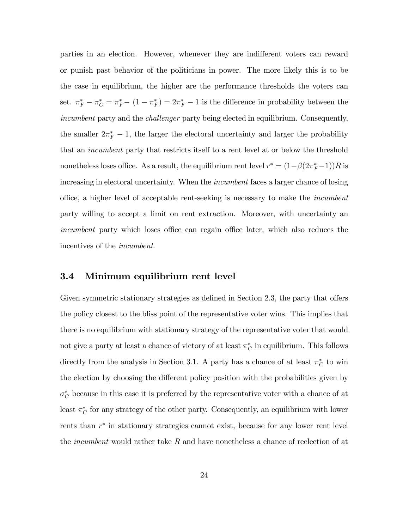parties in an election. However, whenever they are indifferent voters can reward or punish past behavior of the politicians in power. The more likely this is to be the case in equilibrium, the higher are the performance thresholds the voters can set.  $\pi_F^* - \pi_C^* = \pi_F^* - (1 - \pi_F^*) = 2\pi_F^* - 1$  is the difference in probability between the incumbent party and the challenger party being elected in equilibrium. Consequently, the smaller  $2\pi_F^* - 1$ , the larger the electoral uncertainty and larger the probability that an incumbent party that restricts itself to a rent level at or below the threshold nonetheless loses office. As a result, the equilibrium rent level  $r^* = (1 - \beta(2\pi_F^* - 1))R$  is increasing in electoral uncertainty. When the incumbent faces a larger chance of losing office, a higher level of acceptable rent-seeking is necessary to make the *incumbent* party willing to accept a limit on rent extraction. Moreover, with uncertainty an incumbent party which loses office can regain office later, which also reduces the incentives of the incumbent.

## 3.4 Minimum equilibrium rent level

Given symmetric stationary strategies as defined in Section 2.3, the party that offers the policy closest to the bliss point of the representative voter wins. This implies that there is no equilibrium with stationary strategy of the representative voter that would not give a party at least a chance of victory of at least  $\pi_C^*$  in equilibrium. This follows directly from the analysis in Section 3.1. A party has a chance of at least  $\pi_C^*$  to win the election by choosing the different policy position with the probabilities given by  $\sigma_C^*$  because in this case it is preferred by the representative voter with a chance of at least  $\pi_C^*$  for any strategy of the other party. Consequently, an equilibrium with lower rents than  $r^*$  in stationary strategies cannot exist, because for any lower rent level the *incumbent* would rather take R and have nonetheless a chance of reelection of at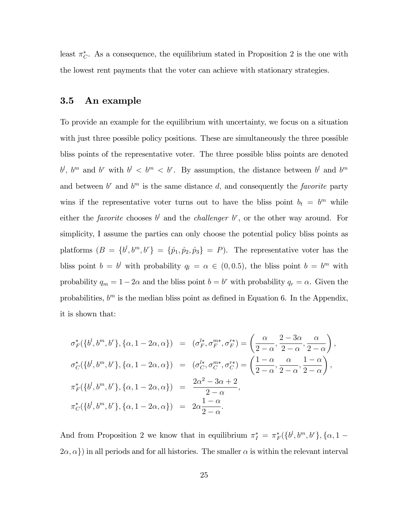least  $\pi_C^*$ . As a consequence, the equilibrium stated in Proposition 2 is the one with the lowest rent payments that the voter can achieve with stationary strategies.

## 3.5 An example

To provide an example for the equilibrium with uncertainty, we focus on a situation with just three possible policy positions. These are simultaneously the three possible bliss points of the representative voter. The three possible bliss points are denoted  $b^l$ ,  $b^m$  and  $b^r$  with  $b^l < b^m < b^r$ . By assumption, the distance between  $b^l$  and  $b^m$ and between  $b^r$  and  $b^m$  is the same distance d, and consequently the *favorite* party wins if the representative voter turns out to have the bliss point  $b_t = b^m$  while either the *favorite* chooses  $b^l$  and the *challenger*  $b^r$ , or the other way around. For simplicity, I assume the parties can only choose the potential policy bliss points as platforms  $(B = \{b^l, b^m, b^r\} = \{\hat{p}_1, \hat{p}_2, \hat{p}_3\} = P)$ . The representative voter has the bliss point  $b = b^l$  with probability  $q_l = \alpha \in (0, 0.5)$ , the bliss point  $b = b^m$  with probability  $q_m = 1-2\alpha$  and the bliss point  $b = b^r$  with probability  $q_r = \alpha$ . Given the probabilities,  $b^m$  is the median bliss point as defined in Equation 6. In the Appendix, it is shown that:

$$
\sigma_F^*\left(\{b^l, b^m, b^r\}, \{\alpha, 1-2\alpha, \alpha\}\right) = (\sigma_F^{l*}, \sigma_F^{m*}, \sigma_F^{r*}) = \left(\frac{\alpha}{2-\alpha}, \frac{2-3\alpha}{2-\alpha}, \frac{\alpha}{2-\alpha}\right),
$$
  

$$
\sigma_C^*\left(\{b^l, b^m, b^r\}, \{\alpha, 1-2\alpha, \alpha\}\right) = (\sigma_C^{l*}, \sigma_C^{m*}, \sigma_C^{r*}) = \left(\frac{1-\alpha}{2-\alpha}, \frac{\alpha}{2-\alpha}, \frac{1-\alpha}{2-\alpha}\right),
$$
  

$$
\pi_F^*\left(\{b^l, b^m, b^r\}, \{\alpha, 1-2\alpha, \alpha\}\right) = \frac{2\alpha^2 - 3\alpha + 2}{2-\alpha},
$$
  

$$
\pi_C^*\left(\{b^l, b^m, b^r\}, \{\alpha, 1-2\alpha, \alpha\}\right) = 2\alpha \frac{1-\alpha}{2-\alpha}.
$$

And from Proposition 2 we know that in equilibrium  $\pi_I^* = \pi_F^*({b^l, b^m, b^r}, {\alpha, 1 - \pi_F})$  $\{\alpha, \alpha\}$ ) in all periods and for all histories. The smaller  $\alpha$  is within the relevant interval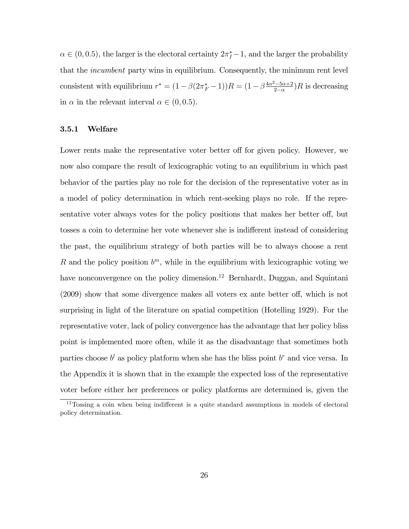$\alpha \in (0, 0.5)$ , the larger is the electoral certainty  $2\pi_I^* - 1$ , and the larger the probability that the *incumbent* party wins in equilibrium. Consequently, the minimum rent level consistent with equilibrium  $r^* = (1 - \beta(2\pi_F^* - 1))R = (1 - \beta \frac{4\alpha^2 - 5\alpha + 2}{2 - \alpha})$  $\frac{(-5\alpha+2}{2-\alpha})R$  is decreasing in  $\alpha$  in the relevant interval  $\alpha \in (0, 0.5)$ .

#### 3.5.1 Welfare

Lower rents make the representative voter better off for given policy. However, we now also compare the result of lexicographic voting to an equilibrium in which past behavior of the parties play no role for the decision of the representative voter as in a model of policy determination in which rent-seeking plays no role. If the representative voter always votes for the policy positions that makes her better off, but tosses a coin to determine her vote whenever she is indifferent instead of considering the past, the equilibrium strategy of both parties will be to always choose a rent R and the policy position  $b^m$ , while in the equilibrium with lexicographic voting we have nonconvergence on the policy dimension.<sup>12</sup> Bernhardt, Duggan, and Squintani  $(2009)$  show that some divergence makes all voters ex ante better off, which is not surprising in light of the literature on spatial competition (Hotelling 1929). For the representative voter, lack of policy convergence has the advantage that her policy bliss point is implemented more often, while it as the disadvantage that sometimes both parties choose  $b^l$  as policy platform when she has the bliss point  $b^r$  and vice versa. In the Appendix it is shown that in the example the expected loss of the representative voter before either her preferences or policy platforms are determined is, given the

 $12$ Tossing a coin when being indifferent is a quite standard assumptions in models of electoral policy determination.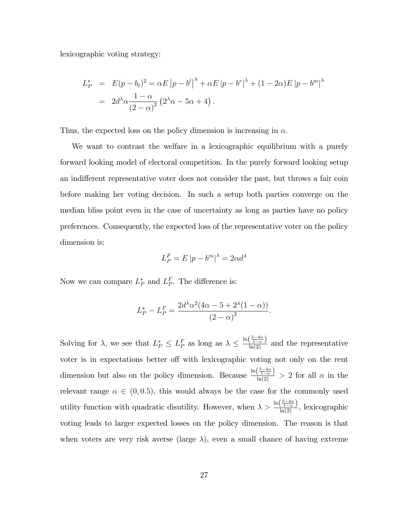lexicographic voting strategy:

$$
L_P^* = E(p - b_t)^2 = \alpha E |p - b^l|^{\lambda} + \alpha E |p - b^r|^{\lambda} + (1 - 2\alpha) E |p - b^m|^{\lambda}
$$
  
=  $2d^{\lambda} \alpha \frac{1 - \alpha}{(2 - \alpha)^2} (2^{\lambda} \alpha - 5\alpha + 4).$ 

Thus, the expected loss on the policy dimension is increasing in  $\alpha$ .

We want to contrast the welfare in a lexicographic equilibrium with a purely forward looking model of electoral competition. In the purely forward looking setup an indifferent representative voter does not consider the past, but throws a fair coin before making her voting decision. In such a setup both parties converge on the median bliss point even in the case of uncertainty as long as parties have no policy preferences. Consequently, the expected loss of the representative voter on the policy dimension is:

$$
L_P^F = E |p - b^m|^\lambda = 2\alpha d^\lambda
$$

Now we can compare  $L_P^*$  and  $L_P^F$ . The difference is:

$$
L_P^* - L_P^F = \frac{2d^{\lambda} \alpha^2 (4\alpha - 5 + 2^{\lambda} (1 - \alpha))}{(2 - \alpha)^2}.
$$

Solving for  $\lambda$ , we see that  $L_P^* \leq L_P^F$  as long as  $\lambda \leq \frac{\ln(\frac{5-4\alpha}{1-\alpha})}{\ln(2)}$  and the representative voter is in expectations better off with lexicographic voting not only on the rent dimension but also on the policy dimension. Because  $\frac{\ln(\frac{5-4\alpha}{1-\alpha})}{\ln(2)} > 2$  for all  $\alpha$  in the relevant range  $\alpha \in (0, 0.5)$ , this would always be the case for the commonly used utility function with quadratic disutility. However, when  $\lambda > \frac{\ln(\frac{5-4\alpha}{1-\alpha})}{\ln(2)}$ , lexicographic voting leads to larger expected losses on the policy dimension. The reason is that when voters are very risk averse (large  $\lambda$ ), even a small chance of having extreme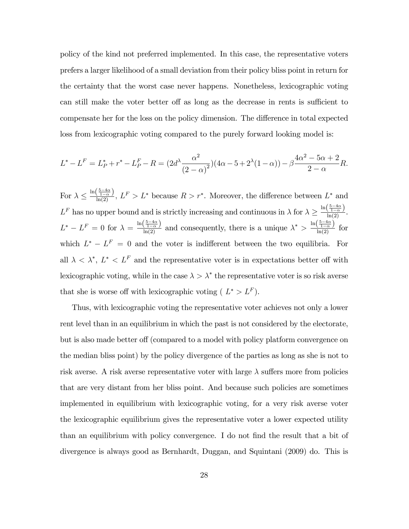policy of the kind not preferred implemented. In this case, the representative voters prefers a larger likelihood of a small deviation from their policy bliss point in return for the certainty that the worst case never happens. Nonetheless, lexicographic voting can still make the voter better off as long as the decrease in rents is sufficient to compensate her for the loss on the policy dimension. The difference in total expected loss from lexicographic voting compared to the purely forward looking model is:

$$
L^* - L^F = L_P^* + r^* - L_P^F - R = (2d^{\lambda} \frac{\alpha^2}{(2-\alpha)^2}) (4\alpha - 5 + 2^{\lambda} (1-\alpha)) - \beta \frac{4\alpha^2 - 5\alpha + 2}{2-\alpha} R.
$$

For  $\lambda \leq \frac{\ln(\frac{5-4\alpha}{1-\alpha})}{\ln(2)}$ ,  $L^F > L^*$  because  $R > r^*$ . Moreover, the difference between  $L^*$  and  $L^F$  has no upper bound and is strictly increasing and continuous in  $\lambda$  for  $\lambda \geq \frac{\ln\left(\frac{5-4\alpha}{1-\alpha}\right)}{\ln(2)}$ .  $L^* - L^F = 0$  for  $\lambda = \frac{\ln(\frac{5-4\alpha}{1-\alpha})}{\ln(2)}$  and consequently, there is a unique  $\lambda^* > \frac{\ln(\frac{5-4\alpha}{1-\alpha})}{\ln(2)}$  for which  $L^* - L^F = 0$  and the voter is indifferent between the two equilibria. For all  $\lambda < \lambda^*, L^* < L^F$  and the representative voter is in expectations better off with lexicographic voting, while in the case  $\lambda > \lambda^*$  the representative voter is so risk averse that she is worse off with lexicographic voting ( $L^* > L^F$ ).

Thus, with lexicographic voting the representative voter achieves not only a lower rent level than in an equilibrium in which the past is not considered by the electorate, but is also made better of (compared to a model with policy platform convergence on the median bliss point) by the policy divergence of the parties as long as she is not to risk averse. A risk averse representative voter with large  $\lambda$  suffers more from policies that are very distant from her bliss point. And because such policies are sometimes implemented in equilibrium with lexicographic voting, for a very risk averse voter the lexicographic equilibrium gives the representative voter a lower expected utility than an equilibrium with policy convergence. I do not find the result that a bit of divergence is always good as Bernhardt, Duggan, and Squintani (2009) do. This is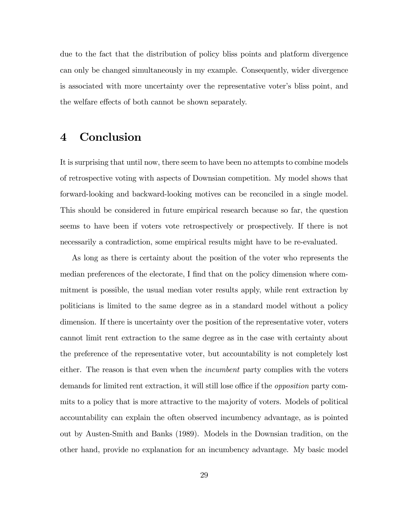due to the fact that the distribution of policy bliss points and platform divergence can only be changed simultaneously in my example. Consequently, wider divergence is associated with more uncertainty over the representative voter's bliss point, and the welfare effects of both cannot be shown separately.

## 4 Conclusion

It is surprising that until now, there seem to have been no attempts to combine models of retrospective voting with aspects of Downsian competition. My model shows that forward-looking and backward-looking motives can be reconciled in a single model. This should be considered in future empirical research because so far, the question seems to have been if voters vote retrospectively or prospectively. If there is not necessarily a contradiction, some empirical results might have to be re-evaluated.

As long as there is certainty about the position of the voter who represents the median preferences of the electorate, I find that on the policy dimension where commitment is possible, the usual median voter results apply, while rent extraction by politicians is limited to the same degree as in a standard model without a policy dimension. If there is uncertainty over the position of the representative voter, voters cannot limit rent extraction to the same degree as in the case with certainty about the preference of the representative voter, but accountability is not completely lost either. The reason is that even when the *incumbent* party complies with the voters demands for limited rent extraction, it will still lose office if the *opposition* party commits to a policy that is more attractive to the majority of voters. Models of political accountability can explain the often observed incumbency advantage, as is pointed out by Austen-Smith and Banks (1989). Models in the Downsian tradition, on the other hand, provide no explanation for an incumbency advantage. My basic model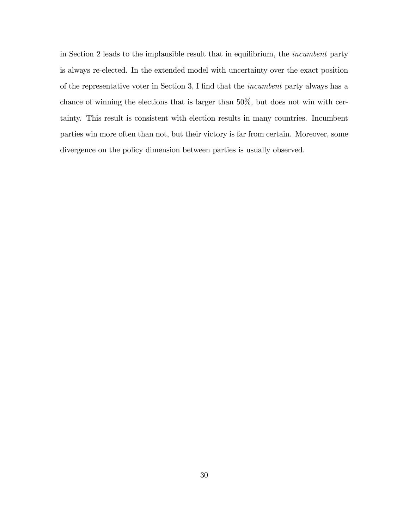in Section 2 leads to the implausible result that in equilibrium, the incumbent party is always re-elected. In the extended model with uncertainty over the exact position of the representative voter in Section 3, I find that the *incumbent* party always has a chance of winning the elections that is larger than 50%; but does not win with certainty. This result is consistent with election results in many countries. Incumbent parties win more often than not, but their victory is far from certain. Moreover, some divergence on the policy dimension between parties is usually observed.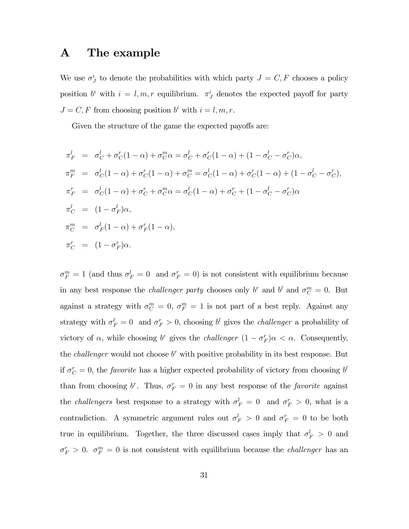## A The example

We use  $\sigma^i_J$  to denote the probabilities with which party  $J = C, F$  chooses a policy position  $b^i$  with  $i = l, m, r$  equilibrium.  $\pi^i_J$  denotes the expected payoff for party  $J = C, F$  from choosing position  $b^i$  with  $i = l, m, r$ .

Given the structure of the game the expected payoffs are:

$$
\pi_F^l = \sigma_C^l + \sigma_C^r (1 - \alpha) + \sigma_C^m \alpha = \sigma_C^l + \sigma_C^r (1 - \alpha) + (1 - \sigma_C^l - \sigma_C^r) \alpha,
$$
  
\n
$$
\pi_F^m = \sigma_C^l (1 - \alpha) + \sigma_C^r (1 - \alpha) + \sigma_C^m = \sigma_C^l (1 - \alpha) + \sigma_C^r (1 - \alpha) + (1 - \sigma_C^l - \sigma_C^r),
$$
  
\n
$$
\pi_F^r = \sigma_C^l (1 - \alpha) + \sigma_C^r + \sigma_C^m \alpha = \sigma_C^l (1 - \alpha) + \sigma_C^r + (1 - \sigma_C^l - \sigma_C^r) \alpha
$$
  
\n
$$
\pi_C^l = (1 - \sigma_F^l) \alpha,
$$
  
\n
$$
\pi_C^r = (\alpha - \sigma_F^r) \alpha.
$$

 $\sigma_F^m = 1$  (and thus  $\sigma_F^l = 0$  and  $\sigma_F^r = 0$ ) is not consistent with equilibrium because in any best response the *challenger party* chooses only  $b^r$  and  $b^l$  and  $\sigma_C^m = 0$ . But against a strategy with  $\sigma_C^m = 0$ ,  $\sigma_F^m = 1$  is not part of a best reply. Against any strategy with  $\sigma_F^l = 0$  and  $\sigma_F^r > 0$ , choosing  $b^l$  gives the *challenger* a probability of victory of  $\alpha$ , while choosing b<sup>r</sup> gives the *challenger*  $(1 - \sigma_F^r)\alpha < \alpha$ . Consequently, the *challenger* would not choose  $b^r$  with positive probability in its best response. But if  $\sigma_C^r = 0$ , the *favorite* has a higher expected probability of victory from choosing  $b^l$ than from choosing  $b^r$ . Thus,  $\sigma_F^r = 0$  in any best response of the *favorite* against the *challengers* best response to a strategy with  $\sigma_F^l = 0$  and  $\sigma_F^r > 0$ , what is a contradiction. A symmetric argument rules out  $\sigma_F^l > 0$  and  $\sigma_F^r = 0$  to be both true in equilibrium. Together, the three discussed cases imply that  $\sigma_F^l > 0$  and  $\sigma_F^r > 0$ .  $\sigma_F^m = 0$  is not consistent with equilibrium because the *challenger* has an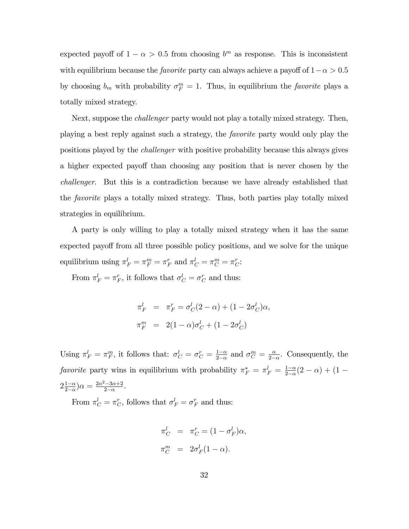expected payoff of  $1 - \alpha > 0.5$  from choosing  $b^m$  as response. This is inconsistent with equilibrium because the *favorite* party can always achieve a payoff of  $1 - \alpha > 0.5$ by choosing  $b_m$  with probability  $\sigma_F^m = 1$ . Thus, in equilibrium the *favorite* plays a totally mixed strategy.

Next, suppose the challenger party would not play a totally mixed strategy. Then, playing a best reply against such a strategy, the favorite party would only play the positions played by the challenger with positive probability because this always gives a higher expected payoff than choosing any position that is never chosen by the challenger. But this is a contradiction because we have already established that the favorite plays a totally mixed strategy. Thus, both parties play totally mixed strategies in equilibrium.

A party is only willing to play a totally mixed strategy when it has the same expected payoff from all three possible policy positions, and we solve for the unique equilibrium using  $\pi_F^l = \pi_F^m = \pi_F^r$  and  $\pi_C^l = \pi_C^m = \pi_C^r$ :

From  $\pi_F^l = \pi_F^r$ , it follows that  $\sigma_C^l = \sigma_C^r$  and thus:

$$
\pi_F^l = \pi_F^r = \sigma_C^l (2 - \alpha) + (1 - 2\sigma_C^l)\alpha,
$$
  

$$
\pi_F^m = 2(1 - \alpha)\sigma_C^l + (1 - 2\sigma_C^l)
$$

Using  $\pi_F^l = \pi_F^m$ , it follows that:  $\sigma_C^l = \sigma_C^r = \frac{1-\alpha}{2-\alpha}$  $\frac{1-\alpha}{2-\alpha}$  and  $\sigma_C^m = \frac{\alpha}{2-\alpha}$  $\frac{\alpha}{2-\alpha}$ . Consequently, the favorite party wins in equilibrium with probability  $\pi_F^* = \pi_F^l = \frac{1-\alpha}{2-\alpha}$  $\frac{1-\alpha}{2-\alpha}(2-\alpha) + (1-\alpha)$  $2\frac{1-\alpha}{2-\alpha}$  $\frac{1-\alpha}{2-\alpha}$ ) $\alpha = \frac{2\alpha^2 - 3\alpha + 2}{2-\alpha}$  $\frac{2-3\alpha+2}{2-\alpha}$ .

From  $\pi_C^l = \pi_C^r$ , follows that  $\sigma_F^l = \sigma_F^r$  and thus:

$$
\pi_C^l = \pi_C^r = (1 - \sigma_F^l)\alpha,
$$
  

$$
\pi_C^m = 2\sigma_F^l(1 - \alpha).
$$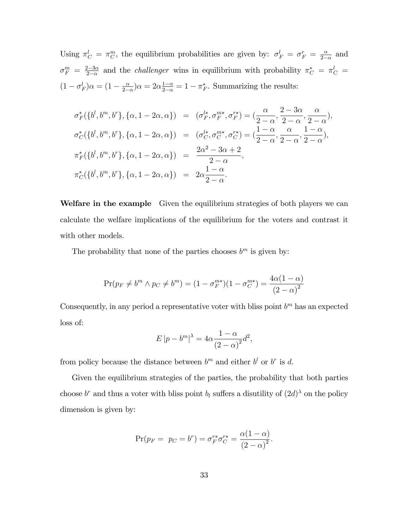Using  $\pi_C^l = \pi_C^m$ , the equilibrium probabilities are given by:  $\sigma_F^l = \sigma_F^r = \frac{\alpha}{2\pi}$  $\frac{\alpha}{2-\alpha}$  and  $\sigma_F^m$  =  $\frac{2-3\alpha}{2-\alpha}$  $\frac{2-3\alpha}{2-\alpha}$  and the *challenger* wins in equilibrium with probability  $\pi_C^* = \pi_C^l =$  $(1 - \sigma_F^l)\alpha = (1 - \frac{\alpha}{2-1})$  $\frac{\alpha}{2-\alpha}$ ) $\alpha = 2\alpha \frac{1-\alpha}{2-\alpha} = 1 - \pi_F^*$ . Summarizing the results:

$$
\sigma_F^*(\{b^l, b^m, b^r\}, \{\alpha, 1 - 2\alpha, \alpha\}) = (\sigma_F^{l*}, \sigma_F^{m*}, \sigma_F^{r*}) = (\frac{\alpha}{2 - \alpha}, \frac{2 - 3\alpha}{2 - \alpha}, \frac{\alpha}{2 - \alpha}),
$$
  

$$
\sigma_C^*(\{b^l, b^m, b^r\}, \{\alpha, 1 - 2\alpha, \alpha\}) = (\sigma_C^{l*}, \sigma_C^{m*}, \sigma_C^{r*}) = (\frac{1 - \alpha}{2 - \alpha}, \frac{\alpha}{2 - \alpha}, \frac{1 - \alpha}{2 - \alpha}),
$$
  

$$
\pi_F^*(\{b^l, b^m, b^r\}, \{\alpha, 1 - 2\alpha, \alpha\}) = \frac{2\alpha^2 - 3\alpha + 2}{2 - \alpha},
$$
  

$$
\pi_C^*(\{b^l, b^m, b^r\}, \{\alpha, 1 - 2\alpha, \alpha\}) = 2\alpha \frac{1 - \alpha}{2 - \alpha}.
$$

Welfare in the example Given the equilibrium strategies of both players we can calculate the welfare implications of the equilibrium for the voters and contrast it with other models.

The probability that none of the parties chooses  $b^m$  is given by:

$$
\Pr(p_F \neq b^m \land p_C \neq b^m) = (1 - \sigma_F^{m*})(1 - \sigma_C^{m*}) = \frac{4\alpha(1 - \alpha)}{(2 - \alpha)^2}
$$

Consequently, in any period a representative voter with bliss point  $b^m$  has an expected loss of:

$$
E|p - bm|\lambda = 4\alpha \frac{1 - \alpha}{(2 - \alpha)^{2}}d^{2},
$$

from policy because the distance between  $b^m$  and either  $b^l$  or  $b^r$  is d.

Given the equilibrium strategies of the parties, the probability that both parties choose  $b^r$  and thus a voter with bliss point  $b_l$  suffers a disutility of  $(2d)$ <sup> $\lambda$ </sup> on the policy dimension is given by:

$$
\Pr(p_F = p_C = b^r) = \sigma_F^{r*} \sigma_C^{r*} = \frac{\alpha (1 - \alpha)}{(2 - \alpha)^2}.
$$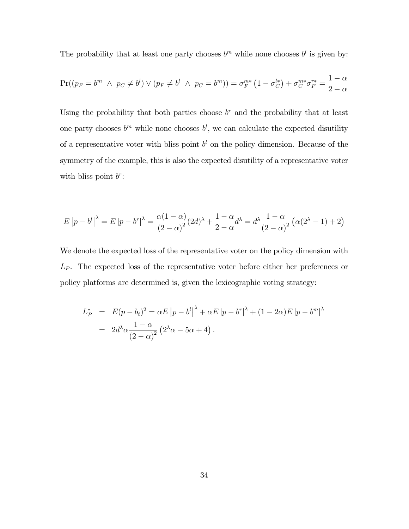The probability that at least one party chooses  $b^m$  while none chooses  $b^l$  is given by:

$$
\Pr((p_F = b^m \ \land \ p_C \neq b^l) \lor (p_F \neq b^l \ \land \ p_C = b^m)) = \sigma_F^{m*} (1 - \sigma_C^{l*}) + \sigma_C^{m*} \sigma_F^{r*} = \frac{1 - \alpha}{2 - \alpha}
$$

Using the probability that both parties choose  $b<sup>r</sup>$  and the probability that at least one party chooses  $b^m$  while none chooses  $b^l$ , we can calculate the expected disutility of a representative voter with bliss point  $b^l$  on the policy dimension. Because of the symmetry of the example, this is also the expected disutility of a representative voter with bliss point  $b^r$ :

$$
E|p - b^l|^{\lambda} = E|p - b^r|^{\lambda} = \frac{\alpha(1 - \alpha)}{(2 - \alpha)^2} (2d)^{\lambda} + \frac{1 - \alpha}{2 - \alpha} d^{\lambda} = d^{\lambda} \frac{1 - \alpha}{(2 - \alpha)^2} (\alpha(2^{\lambda} - 1) + 2)
$$

We denote the expected loss of the representative voter on the policy dimension with  $L<sub>P</sub>$ . The expected loss of the representative voter before either her preferences or policy platforms are determined is, given the lexicographic voting strategy:

$$
L_P^* = E(p - b_t)^2 = \alpha E |p - b^l|^{\lambda} + \alpha E |p - b^r|^{\lambda} + (1 - 2\alpha) E |p - b^m|^{\lambda}
$$
  
=  $2d^{\lambda} \alpha \frac{1 - \alpha}{(2 - \alpha)^2} (2^{\lambda} \alpha - 5\alpha + 4).$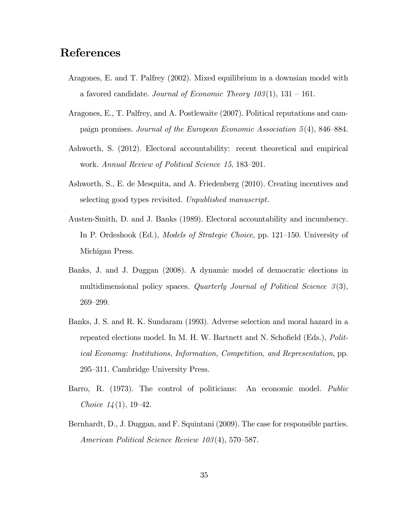# References

- Aragones, E. and T. Palfrey (2002). Mixed equilibrium in a downsian model with a favored candidate. Journal of Economic Theory  $103(1)$ ,  $131 - 161$ .
- Aragones, E., T. Palfrey, and A. Postlewaite (2007). Political reputations and campaign promises. Journal of the European Economic Association  $5(4)$ , 846–884.
- Ashworth, S. (2012). Electoral accountability: recent theoretical and empirical work. Annual Review of Political Science 15, 183-201.
- Ashworth, S., E. de Mesquita, and A. Friedenberg (2010). Creating incentives and selecting good types revisited. Unpublished manuscript.
- Austen-Smith, D. and J. Banks (1989). Electoral accountability and incumbency. In P. Ordeshook (Ed.), *Models of Strategic Choice*, pp. 121–150. University of Michigan Press.
- Banks, J. and J. Duggan (2008). A dynamic model of democratic elections in multidimensional policy spaces. Quarterly Journal of Political Science  $3(3)$ , 269-299.
- Banks, J. S. and R. K. Sundaram (1993). Adverse selection and moral hazard in a repeated elections model. In M. H. W. Bartnett and N. Schofield (Eds.), Political Economy: Institutions, Information, Competition, and Representation, pp. 295–311. Cambridge University Press.
- Barro, R. (1973). The control of politicians: An economic model. Public Choice  $14(1)$ , 19–42.
- Bernhardt, D., J. Duggan, and F. Squintani (2009). The case for responsible parties. American Political Science Review  $103(4)$ , 570–587.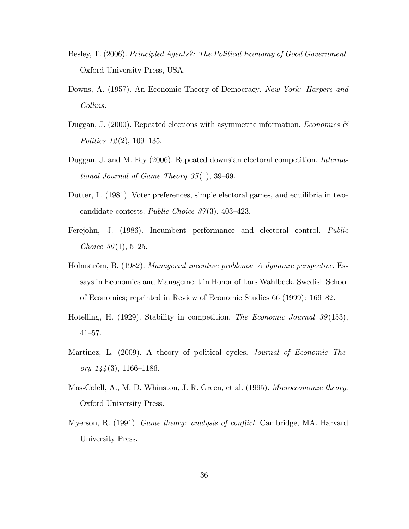- Besley, T. (2006). Principled Agents?: The Political Economy of Good Government. Oxford University Press, USA.
- Downs, A. (1957). An Economic Theory of Democracy. New York: Harpers and Collins.
- Duggan, J. (2000). Repeated elections with asymmetric information. Economics  $\mathcal{B}$ Politics  $12(2)$ , 109–135.
- Duggan, J. and M. Fey (2006). Repeated downsian electoral competition. International Journal of Game Theory  $35(1)$ , 39–69.
- Dutter, L. (1981). Voter preferences, simple electoral games, and equilibria in twocandidate contests. Public Choice  $37(3)$ , 403–423.
- Ferejohn, J. (1986). Incumbent performance and electoral control. Public *Choice*  $50(1)$ , 5–25.
- Holmström, B. (1982). Managerial incentive problems: A dynamic perspective. Essays in Economics and Management in Honor of Lars Wahlbeck. Swedish School of Economics; reprinted in Review of Economic Studies  $66$  (1999):  $169-82$ .
- Hotelling, H. (1929). Stability in competition. The Economic Journal 39(153),  $41 - 57$ .
- Martinez, L. (2009). A theory of political cycles. *Journal of Economic The*ory  $144(3)$ , 1166–1186.
- Mas-Colell, A., M. D. Whinston, J. R. Green, et al. (1995). *Microeconomic theory*. Oxford University Press.
- Myerson, R. (1991). *Game theory: analysis of conflict*. Cambridge, MA. Harvard University Press.